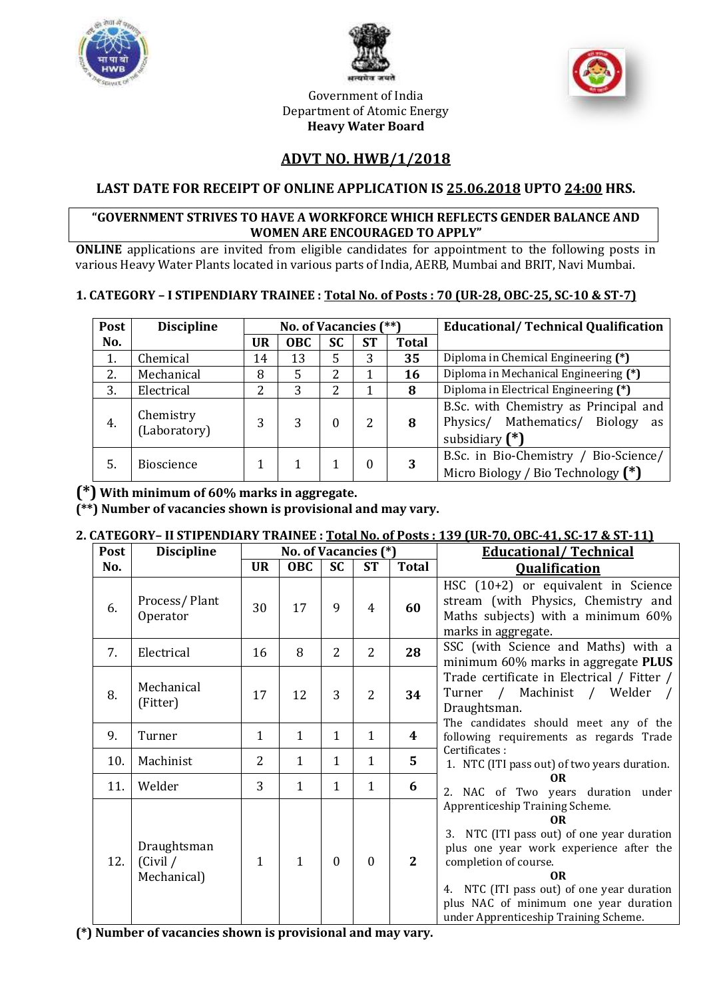





Government of India Department of Atomic Energy **Heavy Water Board**

## **ADVT NO. HWB/1/2018**

## **LAST DATE FOR RECEIPT OF ONLINE APPLICATION IS 25.06.2018 UPTO 24:00 HRS.**

#### **"GOVERNMENT STRIVES TO HAVE A WORKFORCE WHICH REFLECTS GENDER BALANCE AND WOMEN ARE ENCOURAGED TO APPLY"**

**ONLINE** applications are invited from eligible candidates for appointment to the following posts in various Heavy Water Plants located in various parts of India, AERB, Mumbai and BRIT, Navi Mumbai.

#### **1. CATEGORY – I STIPENDIARY TRAINEE : Total No. of Posts : 70 (UR-28, OBC-25, SC-10 & ST-7)**

| Post | <b>Discipline</b>         | No. of Vacancies (**) |            |           | <b>Educational/Technical Qualification</b> |              |                                                                                                     |  |
|------|---------------------------|-----------------------|------------|-----------|--------------------------------------------|--------------|-----------------------------------------------------------------------------------------------------|--|
| No.  |                           | UR                    | <b>OBC</b> | <b>SC</b> | <b>ST</b>                                  | <b>Total</b> |                                                                                                     |  |
| 1.   | Chemical                  | 14                    | 13         | 5         | 3                                          | 35           | Diploma in Chemical Engineering (*)                                                                 |  |
| 2.   | Mechanical                | 8                     | 5          | 2         |                                            | 16           | Diploma in Mechanical Engineering (*)                                                               |  |
| 3.   | Electrical                | 2                     | 3          | 2         |                                            | 8            | Diploma in Electrical Engineering (*)                                                               |  |
| 4.   | Chemistry<br>(Laboratory) | 3                     | 3          | 0         | 2                                          | 8            | B.Sc. with Chemistry as Principal and<br>Physics/ Mathematics/<br>Biology<br>as<br>subsidiary $(*)$ |  |
| 5.   | <b>Bioscience</b>         |                       |            |           |                                            | 3            | B.Sc. in Bio-Chemistry / Bio-Science/<br>Micro Biology / Bio Technology (*)                         |  |

## **(\*) With minimum of 60% marks in aggregate.**

**(\*\*) Number of vacancies shown is provisional and may vary.**

#### **2. CATEGORY– II STIPENDIARY TRAINEE : Total No. of Posts : 139 (UR-70, OBC-41, SC-17 & ST-11)**

| Post | <b>Discipline</b>                      | No. of Vacancies (*) |              |              | <b>Educational/Technical</b> |              |                                                                                                                                                                                                                                                                                                                       |
|------|----------------------------------------|----------------------|--------------|--------------|------------------------------|--------------|-----------------------------------------------------------------------------------------------------------------------------------------------------------------------------------------------------------------------------------------------------------------------------------------------------------------------|
| No.  |                                        | <b>UR</b>            | <b>OBC</b>   | <b>SC</b>    | <b>ST</b>                    | <b>Total</b> | <b>Qualification</b>                                                                                                                                                                                                                                                                                                  |
| 6.   | Process/Plant<br>Operator              | 30                   | 17           | 9            | $\overline{4}$               | 60           | HSC (10+2) or equivalent in Science<br>stream (with Physics, Chemistry and<br>Maths subjects) with a minimum 60%<br>marks in aggregate.                                                                                                                                                                               |
| 7.   | Electrical                             | 16                   | 8            | 2            | 2                            | 28           | SSC (with Science and Maths) with a<br>minimum 60% marks in aggregate PLUS                                                                                                                                                                                                                                            |
| 8.   | Mechanical<br>(Fitter)                 | 17                   | 12           | 3            | 2                            | 34           | Trade certificate in Electrical / Fitter /<br>Turner / Machinist / Welder /<br>Draughtsman.<br>The candidates should meet any of the                                                                                                                                                                                  |
| 9.   | Turner                                 | 1                    | $\mathbf{1}$ | $\mathbf{1}$ | $\mathbf{1}$                 | 4            | following requirements as regards Trade                                                                                                                                                                                                                                                                               |
| 10.  | Machinist                              | $\overline{2}$       | $\mathbf{1}$ | $\mathbf{1}$ | $\mathbf{1}$                 | 5            | Certificates:<br>1. NTC (ITI pass out) of two years duration.                                                                                                                                                                                                                                                         |
| 11.  | Welder                                 | 3                    | 1            | 1            | 1                            | 6            | 0 <sub>R</sub><br>2. NAC of Two years duration under                                                                                                                                                                                                                                                                  |
| 12.  | Draughtsman<br>(Civil /<br>Mechanical) | $\mathbf{1}$         | $\mathbf{1}$ | $\theta$     | $\boldsymbol{0}$             | 2            | Apprenticeship Training Scheme.<br>0 <sub>R</sub><br>3. NTC (ITI pass out) of one year duration<br>plus one year work experience after the<br>completion of course.<br>0 <sub>R</sub><br>4. NTC (ITI pass out) of one year duration<br>plus NAC of minimum one year duration<br>under Apprenticeship Training Scheme. |

**(\*) Number of vacancies shown is provisional and may vary.**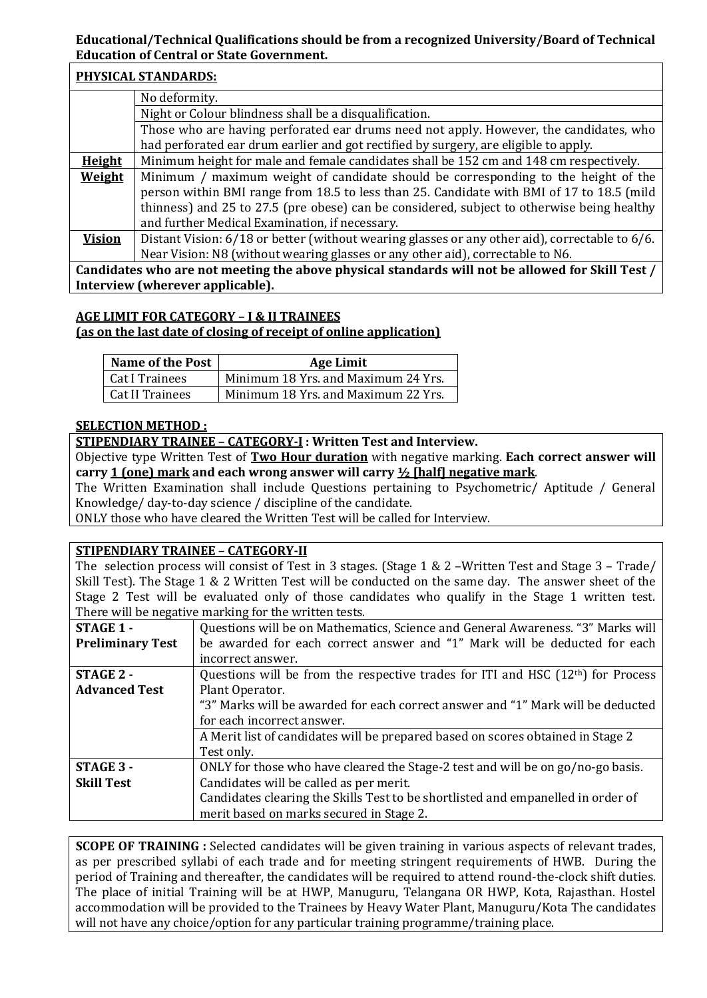#### **Educational/Technical Qualifications should be from a recognized University/Board of Technical Education of Central or State Government.**

|               | PHYSICAL STANDARDS:                                                                              |
|---------------|--------------------------------------------------------------------------------------------------|
|               | No deformity.                                                                                    |
|               | Night or Colour blindness shall be a disqualification.                                           |
|               | Those who are having perforated ear drums need not apply. However, the candidates, who           |
|               | had perforated ear drum earlier and got rectified by surgery, are eligible to apply.             |
| <b>Height</b> | Minimum height for male and female candidates shall be 152 cm and 148 cm respectively.           |
| Weight        | Minimum / maximum weight of candidate should be corresponding to the height of the               |
|               | person within BMI range from 18.5 to less than 25. Candidate with BMI of 17 to 18.5 (mild        |
|               | thinness) and 25 to 27.5 (pre obese) can be considered, subject to otherwise being healthy       |
|               | and further Medical Examination, if necessary.                                                   |
| <b>Vision</b> | Distant Vision: 6/18 or better (without wearing glasses or any other aid), correctable to 6/6.   |
|               | Near Vision: N8 (without wearing glasses or any other aid), correctable to N6.                   |
|               | Candidates who are not meeting the above physical standards will not be allowed for Skill Test / |
|               | Interview (wherever applicable).                                                                 |

### **AGE LIMIT FOR CATEGORY – I & II TRAINEES (as on the last date of closing of receipt of online application)**

| <b>Name of the Post</b> | <b>Age Limit</b>                    |
|-------------------------|-------------------------------------|
| Cat I Trainees          | Minimum 18 Yrs. and Maximum 24 Yrs. |
| Cat II Trainees         | Minimum 18 Yrs. and Maximum 22 Yrs. |

#### **SELECTION METHOD :**

**STIPENDIARY TRAINEE – CATEGORY-I : Written Test and Interview.**

Objective type Written Test of **Two Hour duration** with negative marking. **Each correct answer will carry 1 (one) mark and each wrong answer will carry ½ [half] negative mark**.

The Written Examination shall include Questions pertaining to Psychometric/ Aptitude / General Knowledge/ day-to-day science / discipline of the candidate.

ONLY those who have cleared the Written Test will be called for Interview.

#### **STIPENDIARY TRAINEE – CATEGORY-II**

The selection process will consist of Test in 3 stages. (Stage 1 & 2 –Written Test and Stage 3 – Trade/ Skill Test). The Stage 1 & 2 Written Test will be conducted on the same day. The answer sheet of the Stage 2 Test will be evaluated only of those candidates who qualify in the Stage 1 written test. There will be negative marking for the written tests.

| <b>STAGE 1 -</b>        | Questions will be on Mathematics, Science and General Awareness. "3" Marks will   |
|-------------------------|-----------------------------------------------------------------------------------|
| <b>Preliminary Test</b> | be awarded for each correct answer and "1" Mark will be deducted for each         |
|                         | incorrect answer.                                                                 |
| STAGE 2 -               | Questions will be from the respective trades for ITI and HSC $(12th)$ for Process |
| <b>Advanced Test</b>    | Plant Operator.                                                                   |
|                         | "3" Marks will be awarded for each correct answer and "1" Mark will be deducted   |
|                         | for each incorrect answer.                                                        |
|                         | A Merit list of candidates will be prepared based on scores obtained in Stage 2   |
|                         | Test only.                                                                        |
| STAGE 3 -               | ONLY for those who have cleared the Stage-2 test and will be on go/no-go basis.   |
| <b>Skill Test</b>       | Candidates will be called as per merit.                                           |
|                         | Candidates clearing the Skills Test to be shortlisted and empanelled in order of  |
|                         | merit based on marks secured in Stage 2.                                          |

**SCOPE OF TRAINING :** Selected candidates will be given training in various aspects of relevant trades, as per prescribed syllabi of each trade and for meeting stringent requirements of HWB. During the period of Training and thereafter, the candidates will be required to attend round-the-clock shift duties. The place of initial Training will be at HWP, Manuguru, Telangana OR HWP, Kota, Rajasthan. Hostel accommodation will be provided to the Trainees by Heavy Water Plant, Manuguru/Kota The candidates will not have any choice/option for any particular training programme/training place.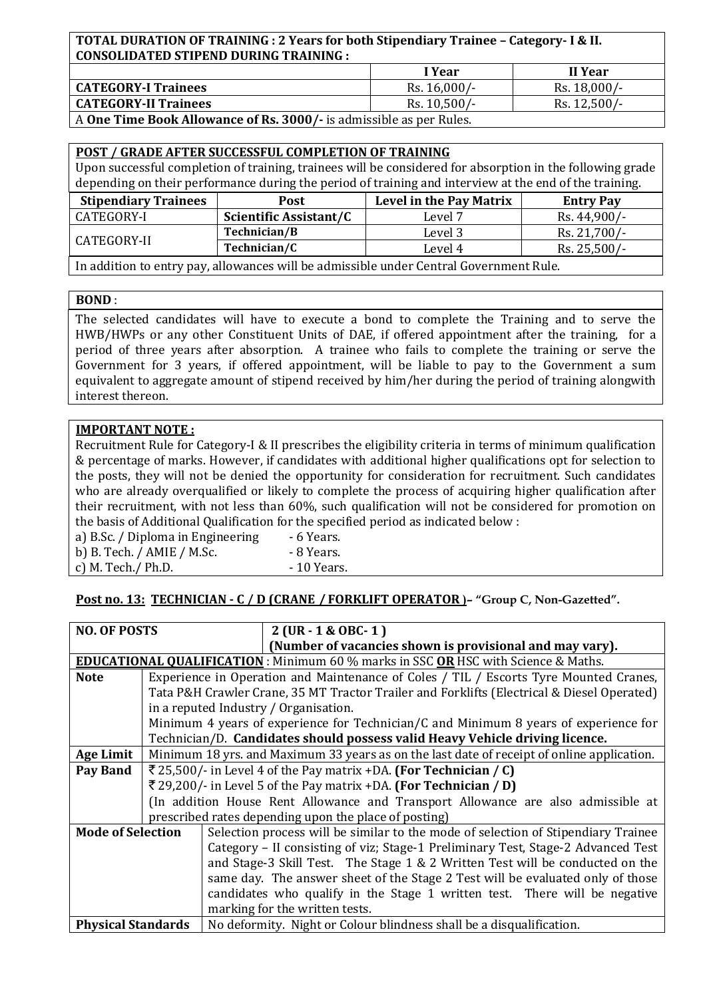#### **TOTAL DURATION OF TRAINING : 2 Years for both Stipendiary Trainee – Category- I & II. CONSOLIDATED STIPEND DURING TRAINING :**

|                                                                     | I Year         | II Year        |  |  |
|---------------------------------------------------------------------|----------------|----------------|--|--|
| <b>CATEGORY-I Trainees</b>                                          | Rs. 16,000/-   | Rs. 18,000/-   |  |  |
| <b>CATEGORY-II Trainees</b>                                         | $Rs. 10,500/-$ | $Rs. 12,500/-$ |  |  |
| A One Time Book Allowance of Rs. 3000/- is admissible as per Rules. |                |                |  |  |

| <b>POST / GRADE AFTER SUCCESSFUL COMPLETION OF TRAINING</b>                                               |                               |                                |                  |  |  |
|-----------------------------------------------------------------------------------------------------------|-------------------------------|--------------------------------|------------------|--|--|
| Upon successful completion of training, trainees will be considered for absorption in the following grade |                               |                                |                  |  |  |
| depending on their performance during the period of training and interview at the end of the training.    |                               |                                |                  |  |  |
| <b>Stipendiary Trainees</b><br><b>Post</b>                                                                |                               | <b>Level in the Pay Matrix</b> | <b>Entry Pay</b> |  |  |
| CATEGORY-I                                                                                                | <b>Scientific Assistant/C</b> | Level 7                        | Rs. 44,900/-     |  |  |
| CATEGORY-II                                                                                               | Technician/B                  | Level 3                        | Rs. 21,700/-     |  |  |
|                                                                                                           | Technician/C                  | Level 4                        | Rs. 25,500/-     |  |  |
|                                                                                                           |                               |                                |                  |  |  |

In addition to entry pay, allowances will be admissible under Central Government Rule.

#### **BOND** :

The selected candidates will have to execute a bond to complete the Training and to serve the HWB/HWPs or any other Constituent Units of DAE, if offered appointment after the training, for a period of three years after absorption. A trainee who fails to complete the training or serve the Government for 3 years, if offered appointment, will be liable to pay to the Government a sum equivalent to aggregate amount of stipend received by him/her during the period of training alongwith interest thereon.

#### **IMPORTANT NOTE :**

Recruitment Rule for Category-I & II prescribes the eligibility criteria in terms of minimum qualification & percentage of marks. However, if candidates with additional higher qualifications opt for selection to the posts, they will not be denied the opportunity for consideration for recruitment. Such candidates who are already overqualified or likely to complete the process of acquiring higher qualification after their recruitment, with not less than 60%, such qualification will not be considered for promotion on the basis of Additional Qualification for the specified period as indicated below :

| a) B.Sc. / Diploma in Engineering | - 6 Years.  |
|-----------------------------------|-------------|
| b) B. Tech. $/$ AMIE $/$ M.Sc.    | - 8 Years.  |
| c) M. Tech. $/$ Ph.D.             | - 10 Years. |

#### **Post no. 13: TECHNICIAN - C / D (CRANE / FORKLIFT OPERATOR )– "Group C, Non-Gazetted".**

| <b>NO. OF POSTS</b>       |                                                                                       | $2$ (UR - 1 & OBC- 1)                                                                            |  |  |  |
|---------------------------|---------------------------------------------------------------------------------------|--------------------------------------------------------------------------------------------------|--|--|--|
|                           |                                                                                       | (Number of vacancies shown is provisional and may vary).                                         |  |  |  |
|                           |                                                                                       | <b>EDUCATIONAL QUALIFICATION</b> : Minimum 60 % marks in SSC <b>OR</b> HSC with Science & Maths. |  |  |  |
| <b>Note</b>               | Experience in Operation and Maintenance of Coles / TIL / Escorts Tyre Mounted Cranes, |                                                                                                  |  |  |  |
|                           |                                                                                       | Tata P&H Crawler Crane, 35 MT Tractor Trailer and Forklifts (Electrical & Diesel Operated)       |  |  |  |
|                           |                                                                                       | in a reputed Industry / Organisation.                                                            |  |  |  |
|                           |                                                                                       | Minimum 4 years of experience for Technician/C and Minimum 8 years of experience for             |  |  |  |
|                           |                                                                                       | Technician/D. Candidates should possess valid Heavy Vehicle driving licence.                     |  |  |  |
| <b>Age Limit</b>          |                                                                                       | Minimum 18 yrs. and Maximum 33 years as on the last date of receipt of online application.       |  |  |  |
| Pay Band                  | ₹ 25,500/- in Level 4 of the Pay matrix +DA. (For Technician / C)                     |                                                                                                  |  |  |  |
|                           | ₹ 29,200/- in Level 5 of the Pay matrix +DA. (For Technician / D)                     |                                                                                                  |  |  |  |
|                           | (In addition House Rent Allowance and Transport Allowance are also admissible at      |                                                                                                  |  |  |  |
|                           | prescribed rates depending upon the place of posting)                                 |                                                                                                  |  |  |  |
| <b>Mode of Selection</b>  |                                                                                       | Selection process will be similar to the mode of selection of Stipendiary Trainee                |  |  |  |
|                           |                                                                                       | Category - II consisting of viz; Stage-1 Preliminary Test, Stage-2 Advanced Test                 |  |  |  |
|                           |                                                                                       | and Stage-3 Skill Test. The Stage 1 & 2 Written Test will be conducted on the                    |  |  |  |
|                           |                                                                                       | same day. The answer sheet of the Stage 2 Test will be evaluated only of those                   |  |  |  |
|                           |                                                                                       | candidates who qualify in the Stage 1 written test. There will be negative                       |  |  |  |
|                           |                                                                                       | marking for the written tests.                                                                   |  |  |  |
| <b>Physical Standards</b> |                                                                                       | No deformity. Night or Colour blindness shall be a disqualification.                             |  |  |  |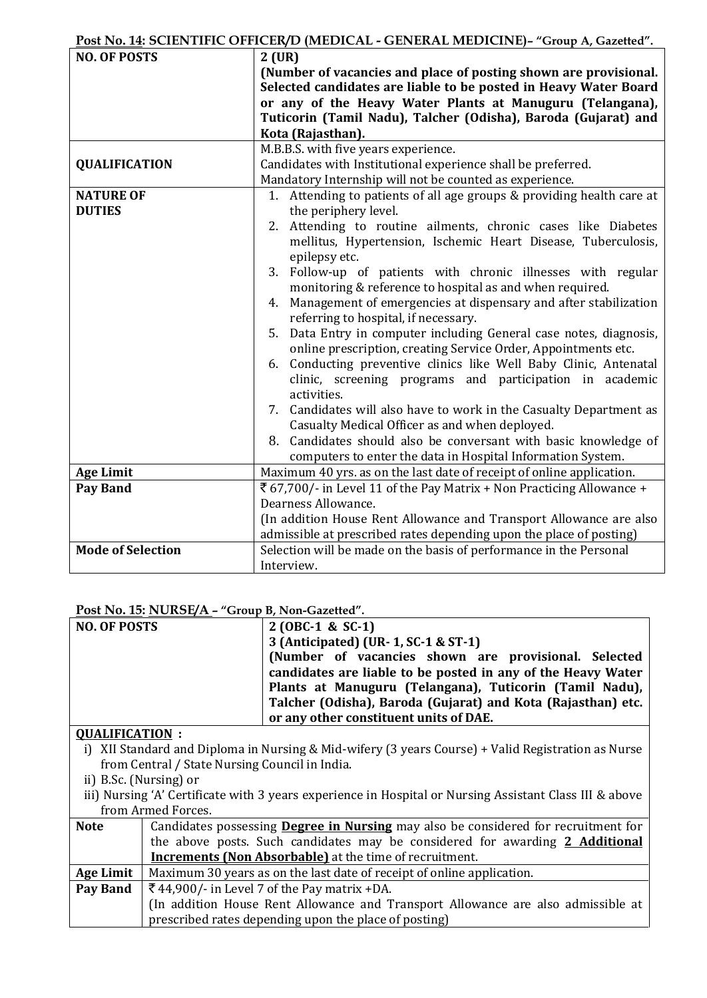#### **Post No. 14: SCIENTIFIC OFFICER/D (MEDICAL - GENERAL MEDICINE)– "Group A, Gazetted".**

| <b>NO. OF POSTS</b>      | $\mathcal{L}_{\mathbf{y}}$ $\mathcal{L}_{\mathbf{y}}$ and $\mathcal{L}_{\mathbf{y}}$ and $\mathcal{L}_{\mathbf{y}}$ and $\mathcal{L}_{\mathbf{y}}$<br>$2$ (UR) |  |  |  |  |  |
|--------------------------|----------------------------------------------------------------------------------------------------------------------------------------------------------------|--|--|--|--|--|
|                          | (Number of vacancies and place of posting shown are provisional.                                                                                               |  |  |  |  |  |
|                          | Selected candidates are liable to be posted in Heavy Water Board                                                                                               |  |  |  |  |  |
|                          | or any of the Heavy Water Plants at Manuguru (Telangana),                                                                                                      |  |  |  |  |  |
|                          | Tuticorin (Tamil Nadu), Talcher (Odisha), Baroda (Gujarat) and                                                                                                 |  |  |  |  |  |
|                          | Kota (Rajasthan).                                                                                                                                              |  |  |  |  |  |
|                          | M.B.B.S. with five years experience.                                                                                                                           |  |  |  |  |  |
| <b>QUALIFICATION</b>     | Candidates with Institutional experience shall be preferred.                                                                                                   |  |  |  |  |  |
|                          | Mandatory Internship will not be counted as experience.                                                                                                        |  |  |  |  |  |
| <b>NATURE OF</b>         | 1. Attending to patients of all age groups & providing health care at                                                                                          |  |  |  |  |  |
| <b>DUTIES</b>            | the periphery level.                                                                                                                                           |  |  |  |  |  |
|                          | 2. Attending to routine ailments, chronic cases like Diabetes                                                                                                  |  |  |  |  |  |
|                          | mellitus, Hypertension, Ischemic Heart Disease, Tuberculosis,                                                                                                  |  |  |  |  |  |
|                          | epilepsy etc.                                                                                                                                                  |  |  |  |  |  |
|                          | 3. Follow-up of patients with chronic illnesses with regular                                                                                                   |  |  |  |  |  |
|                          | monitoring & reference to hospital as and when required.                                                                                                       |  |  |  |  |  |
|                          | Management of emergencies at dispensary and after stabilization<br>4.                                                                                          |  |  |  |  |  |
|                          | referring to hospital, if necessary.                                                                                                                           |  |  |  |  |  |
|                          | Data Entry in computer including General case notes, diagnosis,<br>5.                                                                                          |  |  |  |  |  |
|                          | online prescription, creating Service Order, Appointments etc.                                                                                                 |  |  |  |  |  |
|                          | Conducting preventive clinics like Well Baby Clinic, Antenatal<br>6.                                                                                           |  |  |  |  |  |
|                          | clinic, screening programs and participation in academic                                                                                                       |  |  |  |  |  |
|                          | activities.                                                                                                                                                    |  |  |  |  |  |
|                          | 7. Candidates will also have to work in the Casualty Department as<br>Casualty Medical Officer as and when deployed.                                           |  |  |  |  |  |
|                          |                                                                                                                                                                |  |  |  |  |  |
|                          | 8. Candidates should also be conversant with basic knowledge of<br>computers to enter the data in Hospital Information System.                                 |  |  |  |  |  |
| <b>Age Limit</b>         | Maximum 40 yrs. as on the last date of receipt of online application.                                                                                          |  |  |  |  |  |
| <b>Pay Band</b>          | ₹ 67,700/- in Level 11 of the Pay Matrix + Non Practicing Allowance +                                                                                          |  |  |  |  |  |
|                          | Dearness Allowance.                                                                                                                                            |  |  |  |  |  |
|                          | (In addition House Rent Allowance and Transport Allowance are also                                                                                             |  |  |  |  |  |
|                          | admissible at prescribed rates depending upon the place of posting)                                                                                            |  |  |  |  |  |
| <b>Mode of Selection</b> | Selection will be made on the basis of performance in the Personal                                                                                             |  |  |  |  |  |
|                          | Interview.                                                                                                                                                     |  |  |  |  |  |

#### **Post No. 15: NURSE/A – "Group B, Non-Gazetted".**

| <b>NO. OF POSTS</b> | $2 (OBC-1 & SC-1)$                                           |
|---------------------|--------------------------------------------------------------|
|                     | 3 (Anticipated) (UR- 1, SC-1 & ST-1)                         |
|                     | (Number of vacancies shown are provisional. Selected         |
|                     | candidates are liable to be posted in any of the Heavy Water |
|                     | Plants at Manuguru (Telangana), Tuticorin (Tamil Nadu),      |
|                     | Talcher (Odisha), Baroda (Gujarat) and Kota (Rajasthan) etc. |
|                     | or any other constituent units of DAE.                       |

## **QUALIFICATION :**

i) XII Standard and Diploma in Nursing & Mid-wifery (3 years Course) + Valid Registration as Nurse from Central / State Nursing Council in India.

ii) B.Sc. (Nursing) or

iii) Nursing 'A' Certificate with 3 years experience in Hospital or Nursing Assistant Class III & above from Armed Forces.

| <b>Note</b> | Candidates possessing <b>Degree in Nursing</b> may also be considered for recruitment for |
|-------------|-------------------------------------------------------------------------------------------|
|             | the above posts. Such candidates may be considered for awarding 2 Additional              |
|             | <b>Increments (Non Absorbable)</b> at the time of recruitment.                            |
| Age Limit   | Maximum 30 years as on the last date of receipt of online application.                    |
| Pay Band    | $\sqrt{544,900}$ /- in Level 7 of the Pay matrix +DA.                                     |
|             | (In addition House Rent Allowance and Transport Allowance are also admissible at          |
|             | prescribed rates depending upon the place of posting)                                     |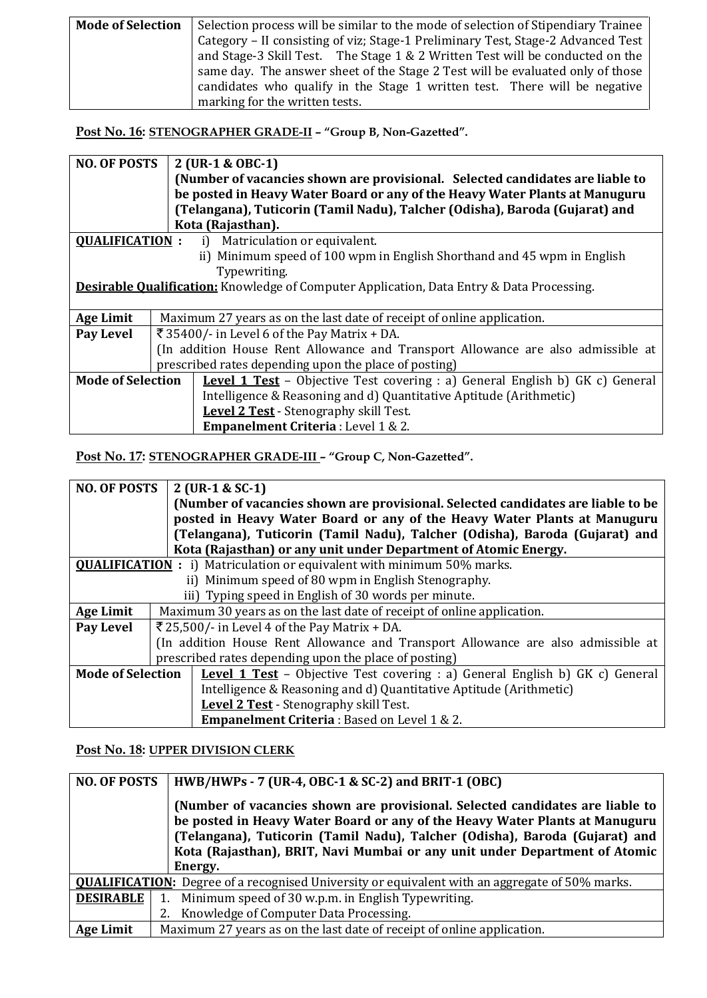| <b>Mode of Selection</b> | Selection process will be similar to the mode of selection of Stipendiary Trainee |
|--------------------------|-----------------------------------------------------------------------------------|
|                          | Category - II consisting of viz; Stage-1 Preliminary Test, Stage-2 Advanced Test  |
|                          | and Stage-3 Skill Test. The Stage $1 \& 2$ Written Test will be conducted on the  |
|                          | same day. The answer sheet of the Stage 2 Test will be evaluated only of those    |
|                          | candidates who qualify in the Stage 1 written test. There will be negative        |
|                          | marking for the written tests.                                                    |

**Post No. 16: STENOGRAPHER GRADE-II – "Group B, Non-Gazetted".**

| <b>NO. OF POSTS</b>      | 2 (UR-1 & OBC-1)                                                                                 |  |
|--------------------------|--------------------------------------------------------------------------------------------------|--|
|                          | (Number of vacancies shown are provisional. Selected candidates are liable to                    |  |
|                          | be posted in Heavy Water Board or any of the Heavy Water Plants at Manuguru                      |  |
|                          | (Telangana), Tuticorin (Tamil Nadu), Talcher (Odisha), Baroda (Gujarat) and                      |  |
|                          | Kota (Rajasthan).                                                                                |  |
| <b>OUALIFICATION:</b>    | Matriculation or equivalent.<br>i)                                                               |  |
|                          | Minimum speed of 100 wpm in English Shorthand and 45 wpm in English<br>ii)                       |  |
|                          | Typewriting.                                                                                     |  |
|                          | <b>Desirable Qualification:</b> Knowledge of Computer Application, Data Entry & Data Processing. |  |
|                          |                                                                                                  |  |
| <b>Age Limit</b>         | Maximum 27 years as on the last date of receipt of online application.                           |  |
| Pay Level                | ₹ 35400/- in Level 6 of the Pay Matrix + DA.                                                     |  |
|                          | (In addition House Rent Allowance and Transport Allowance are also admissible at                 |  |
|                          | prescribed rates depending upon the place of posting)                                            |  |
| <b>Mode of Selection</b> | <b>Level 1 Test</b> – Objective Test covering : a) General English b) GK c) General              |  |
|                          | Intelligence & Reasoning and d) Quantitative Aptitude (Arithmetic)                               |  |
|                          | Level 2 Test - Stenography skill Test.                                                           |  |
|                          | <b>Empanelment Criteria</b> : Level 1 & 2.                                                       |  |

**Post No. 17: STENOGRAPHER GRADE-III – "Group C, Non-Gazetted".**

| <b>NO. OF POSTS</b>                                                           |  | $2$ (UR-1 & SC-1)                                                                   |
|-------------------------------------------------------------------------------|--|-------------------------------------------------------------------------------------|
|                                                                               |  | (Number of vacancies shown are provisional. Selected candidates are liable to be    |
|                                                                               |  | posted in Heavy Water Board or any of the Heavy Water Plants at Manuguru            |
|                                                                               |  | (Telangana), Tuticorin (Tamil Nadu), Talcher (Odisha), Baroda (Gujarat) and         |
|                                                                               |  | Kota (Rajasthan) or any unit under Department of Atomic Energy.                     |
| <b>QUALIFICATION</b> : i) Matriculation or equivalent with minimum 50% marks. |  |                                                                                     |
|                                                                               |  | ii) Minimum speed of 80 wpm in English Stenography.                                 |
|                                                                               |  | iii) Typing speed in English of 30 words per minute.                                |
| <b>Age Limit</b>                                                              |  | Maximum 30 years as on the last date of receipt of online application.              |
| Pay Level                                                                     |  | $\overline{\xi}$ 25,500/- in Level 4 of the Pay Matrix + DA.                        |
|                                                                               |  | (In addition House Rent Allowance and Transport Allowance are also admissible at    |
|                                                                               |  | prescribed rates depending upon the place of posting)                               |
| <b>Mode of Selection</b>                                                      |  | <b>Level 1 Test</b> – Objective Test covering : a) General English b) GK c) General |
|                                                                               |  | Intelligence & Reasoning and d) Quantitative Aptitude (Arithmetic)                  |
|                                                                               |  | Level 2 Test - Stenography skill Test.                                              |
|                                                                               |  | <b>Empanelment Criteria: Based on Level 1 &amp; 2.</b>                              |

### **Post No. 18: UPPER DIVISION CLERK**

| <b>NO. OF POSTS</b> | HWB/HWPs - 7 (UR-4, OBC-1 & SC-2) and BRIT-1 (OBC)                                                                                                                                                                                                                                                                                   |
|---------------------|--------------------------------------------------------------------------------------------------------------------------------------------------------------------------------------------------------------------------------------------------------------------------------------------------------------------------------------|
|                     | (Number of vacancies shown are provisional. Selected candidates are liable to<br>be posted in Heavy Water Board or any of the Heavy Water Plants at Manuguru<br>(Telangana), Tuticorin (Tamil Nadu), Talcher (Odisha), Baroda (Gujarat) and<br>Kota (Rajasthan), BRIT, Navi Mumbai or any unit under Department of Atomic<br>Energy. |
|                     |                                                                                                                                                                                                                                                                                                                                      |
|                     | <b>QUALIFICATION:</b> Degree of a recognised University or equivalent with an aggregate of 50% marks.                                                                                                                                                                                                                                |
| <b>DESIRABLE</b>    | Minimum speed of 30 w.p.m. in English Typewriting.<br>1.                                                                                                                                                                                                                                                                             |
|                     | Knowledge of Computer Data Processing.<br>2.                                                                                                                                                                                                                                                                                         |
| <b>Age Limit</b>    | Maximum 27 years as on the last date of receipt of online application.                                                                                                                                                                                                                                                               |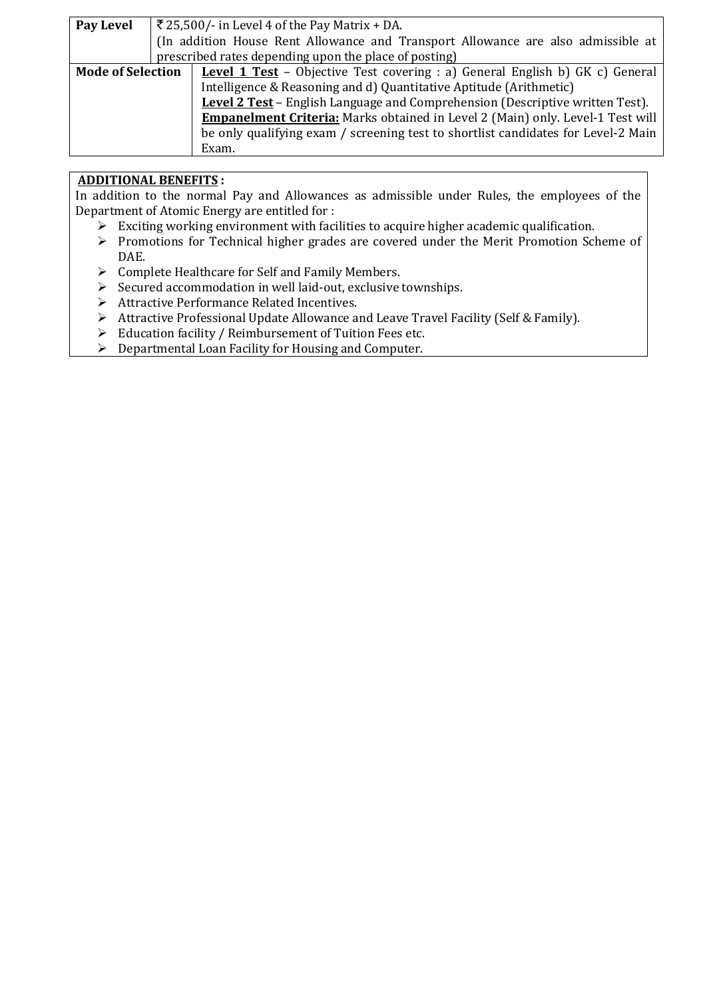| Pay Level                | $\overline{\xi}$ 25,500/- in Level 4 of the Pay Matrix + DA.                          |
|--------------------------|---------------------------------------------------------------------------------------|
|                          | (In addition House Rent Allowance and Transport Allowance are also admissible at      |
|                          | prescribed rates depending upon the place of posting)                                 |
| <b>Mode of Selection</b> | <b>Level 1 Test</b> – Objective Test covering : a) General English b) GK c) General   |
|                          | Intelligence & Reasoning and d) Quantitative Aptitude (Arithmetic)                    |
|                          | Level 2 Test - English Language and Comprehension (Descriptive written Test).         |
|                          | <b>Empanelment Criteria:</b> Marks obtained in Level 2 (Main) only. Level-1 Test will |
|                          | be only qualifying exam / screening test to shortlist candidates for Level-2 Main     |
|                          | Exam.                                                                                 |

### **ADDITIONAL BENEFITS :**

In addition to the normal Pay and Allowances as admissible under Rules, the employees of the Department of Atomic Energy are entitled for :

- $\triangleright$  Exciting working environment with facilities to acquire higher academic qualification.
- Promotions for Technical higher grades are covered under the Merit Promotion Scheme of DAE.
- $\triangleright$  Complete Healthcare for Self and Family Members.
- $\triangleright$  Secured accommodation in well laid-out, exclusive townships.
- Attractive Performance Related Incentives.
- Attractive Professional Update Allowance and Leave Travel Facility (Self & Family).
- $\triangleright$  Education facility / Reimbursement of Tuition Fees etc.
- $\triangleright$  Departmental Loan Facility for Housing and Computer.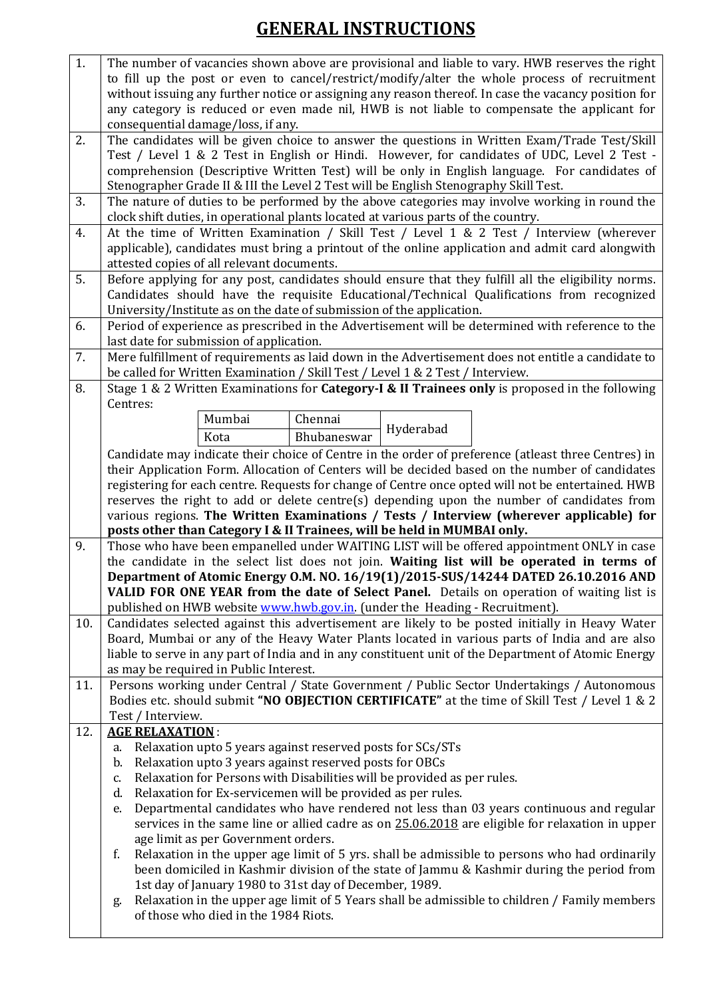# **GENERAL INSTRUCTIONS**

| 1.  | The number of vacancies shown above are provisional and liable to vary. HWB reserves the right                                                                                             |
|-----|--------------------------------------------------------------------------------------------------------------------------------------------------------------------------------------------|
|     | to fill up the post or even to cancel/restrict/modify/alter the whole process of recruitment                                                                                               |
|     | without issuing any further notice or assigning any reason thereof. In case the vacancy position for                                                                                       |
|     | any category is reduced or even made nil, HWB is not liable to compensate the applicant for                                                                                                |
|     | consequential damage/loss, if any.                                                                                                                                                         |
| 2.  | The candidates will be given choice to answer the questions in Written Exam/Trade Test/Skill                                                                                               |
|     | Test / Level 1 & 2 Test in English or Hindi. However, for candidates of UDC, Level 2 Test -                                                                                                |
|     | comprehension (Descriptive Written Test) will be only in English language. For candidates of                                                                                               |
|     | Stenographer Grade II & III the Level 2 Test will be English Stenography Skill Test.                                                                                                       |
| 3.  | The nature of duties to be performed by the above categories may involve working in round the                                                                                              |
|     | clock shift duties, in operational plants located at various parts of the country.                                                                                                         |
| 4.  | At the time of Written Examination / Skill Test / Level 1 & 2 Test / Interview (wherever                                                                                                   |
|     | applicable), candidates must bring a printout of the online application and admit card alongwith                                                                                           |
|     | attested copies of all relevant documents.                                                                                                                                                 |
| 5.  | Before applying for any post, candidates should ensure that they fulfill all the eligibility norms.                                                                                        |
|     | Candidates should have the requisite Educational/Technical Qualifications from recognized                                                                                                  |
|     | University/Institute as on the date of submission of the application.                                                                                                                      |
| 6.  | Period of experience as prescribed in the Advertisement will be determined with reference to the<br>last date for submission of application.                                               |
| 7.  | Mere fulfillment of requirements as laid down in the Advertisement does not entitle a candidate to                                                                                         |
|     | be called for Written Examination / Skill Test / Level 1 & 2 Test / Interview.                                                                                                             |
| 8.  | Stage 1 & 2 Written Examinations for Category-I & II Trainees only is proposed in the following                                                                                            |
|     | Centres:                                                                                                                                                                                   |
|     | Mumbai<br>Chennai                                                                                                                                                                          |
|     | Hyderabad<br>Bhubaneswar<br>Kota                                                                                                                                                           |
|     | Candidate may indicate their choice of Centre in the order of preference (atleast three Centres) in                                                                                        |
|     | their Application Form. Allocation of Centers will be decided based on the number of candidates                                                                                            |
|     | registering for each centre. Requests for change of Centre once opted will not be entertained. HWB                                                                                         |
|     |                                                                                                                                                                                            |
|     |                                                                                                                                                                                            |
|     | reserves the right to add or delete centre(s) depending upon the number of candidates from                                                                                                 |
|     | various regions. The Written Examinations / Tests / Interview (wherever applicable) for<br>posts other than Category I & II Trainees, will be held in MUMBAI only.                         |
| 9.  | Those who have been empanelled under WAITING LIST will be offered appointment ONLY in case                                                                                                 |
|     | the candidate in the select list does not join. Waiting list will be operated in terms of                                                                                                  |
|     | Department of Atomic Energy O.M. NO. 16/19(1)/2015-SUS/14244 DATED 26.10.2016 AND                                                                                                          |
|     | <b>VALID FOR ONE YEAR from the date of Select Panel.</b> Details on operation of waiting list is                                                                                           |
|     | published on HWB website www.hwb.gov.in. (under the Heading - Recruitment).                                                                                                                |
| 10. | Candidates selected against this advertisement are likely to be posted initially in Heavy Water                                                                                            |
|     | Board, Mumbai or any of the Heavy Water Plants located in various parts of India and are also                                                                                              |
|     | liable to serve in any part of India and in any constituent unit of the Department of Atomic Energy                                                                                        |
|     | as may be required in Public Interest.                                                                                                                                                     |
| 11. | Persons working under Central / State Government / Public Sector Undertakings / Autonomous                                                                                                 |
|     | Bodies etc. should submit "NO OBJECTION CERTIFICATE" at the time of Skill Test / Level 1 & 2                                                                                               |
|     | Test / Interview.                                                                                                                                                                          |
| 12. | <b>AGE RELAXATION:</b>                                                                                                                                                                     |
|     | Relaxation upto 5 years against reserved posts for SCs/STs<br>a.                                                                                                                           |
|     | Relaxation upto 3 years against reserved posts for OBCs<br>b.                                                                                                                              |
|     | Relaxation for Persons with Disabilities will be provided as per rules.<br>c.                                                                                                              |
|     | Relaxation for Ex-servicemen will be provided as per rules.<br>d.<br>e.                                                                                                                    |
|     | Departmental candidates who have rendered not less than 03 years continuous and regular<br>services in the same line or allied cadre as on 25.06.2018 are eligible for relaxation in upper |
|     | age limit as per Government orders.                                                                                                                                                        |
|     | Relaxation in the upper age limit of 5 yrs. shall be admissible to persons who had ordinarily<br>f.                                                                                        |
|     | been domiciled in Kashmir division of the state of Jammu & Kashmir during the period from                                                                                                  |
|     | 1st day of January 1980 to 31st day of December, 1989.                                                                                                                                     |
|     | Relaxation in the upper age limit of 5 Years shall be admissible to children / Family members<br>g.<br>of those who died in the 1984 Riots.                                                |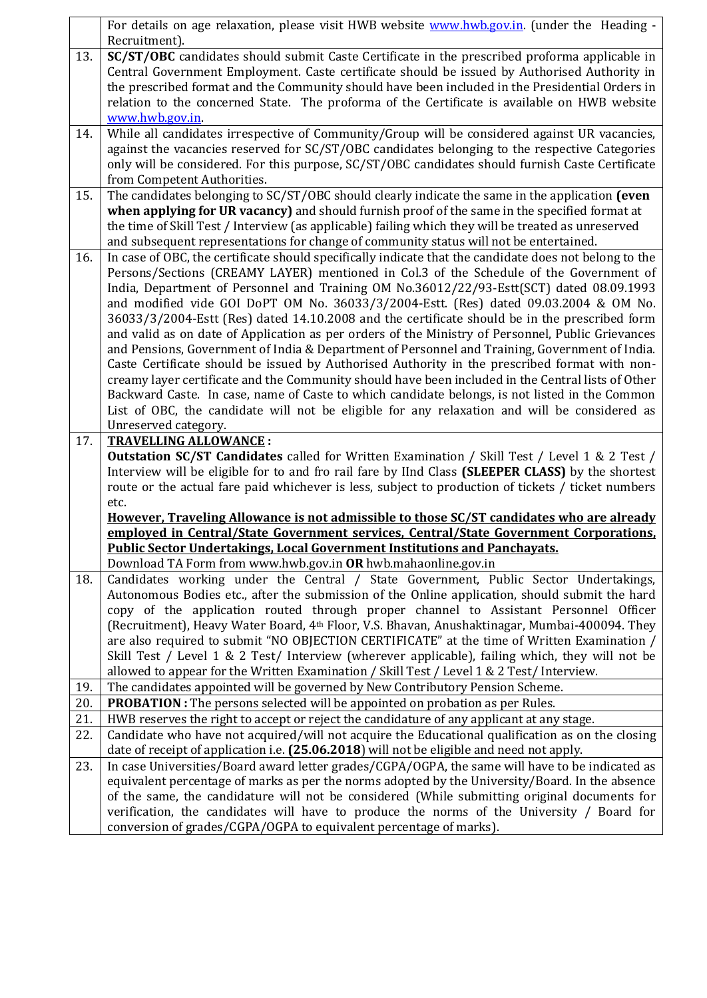|     | For details on age relaxation, please visit HWB website www.hwb.gov.in. (under the Heading -                                                                                                       |
|-----|----------------------------------------------------------------------------------------------------------------------------------------------------------------------------------------------------|
|     | Recruitment).                                                                                                                                                                                      |
| 13. | SC/ST/OBC candidates should submit Caste Certificate in the prescribed proforma applicable in                                                                                                      |
|     | Central Government Employment. Caste certificate should be issued by Authorised Authority in                                                                                                       |
|     | the prescribed format and the Community should have been included in the Presidential Orders in                                                                                                    |
|     | relation to the concerned State. The proforma of the Certificate is available on HWB website                                                                                                       |
|     | www.hwb.gov.in                                                                                                                                                                                     |
| 14. | While all candidates irrespective of Community/Group will be considered against UR vacancies,                                                                                                      |
|     | against the vacancies reserved for SC/ST/OBC candidates belonging to the respective Categories<br>only will be considered. For this purpose, SC/ST/OBC candidates should furnish Caste Certificate |
|     | from Competent Authorities.                                                                                                                                                                        |
| 15. | The candidates belonging to SC/ST/OBC should clearly indicate the same in the application (even                                                                                                    |
|     | when applying for UR vacancy) and should furnish proof of the same in the specified format at                                                                                                      |
|     | the time of Skill Test / Interview (as applicable) failing which they will be treated as unreserved                                                                                                |
|     | and subsequent representations for change of community status will not be entertained.                                                                                                             |
| 16. | In case of OBC, the certificate should specifically indicate that the candidate does not belong to the                                                                                             |
|     | Persons/Sections (CREAMY LAYER) mentioned in Col.3 of the Schedule of the Government of                                                                                                            |
|     | India, Department of Personnel and Training OM No.36012/22/93-Estt(SCT) dated 08.09.1993                                                                                                           |
|     | and modified vide GOI DoPT OM No. 36033/3/2004-Estt. (Res) dated 09.03.2004 & OM No.                                                                                                               |
|     | 36033/3/2004-Estt (Res) dated 14.10.2008 and the certificate should be in the prescribed form                                                                                                      |
|     | and valid as on date of Application as per orders of the Ministry of Personnel, Public Grievances                                                                                                  |
|     | and Pensions, Government of India & Department of Personnel and Training, Government of India.                                                                                                     |
|     | Caste Certificate should be issued by Authorised Authority in the prescribed format with non-                                                                                                      |
|     | creamy layer certificate and the Community should have been included in the Central lists of Other                                                                                                 |
|     | Backward Caste. In case, name of Caste to which candidate belongs, is not listed in the Common                                                                                                     |
|     | List of OBC, the candidate will not be eligible for any relaxation and will be considered as                                                                                                       |
|     | Unreserved category.                                                                                                                                                                               |
|     |                                                                                                                                                                                                    |
| 17. | <b>TRAVELLING ALLOWANCE:</b>                                                                                                                                                                       |
|     | <b>Outstation SC/ST Candidates</b> called for Written Examination / Skill Test / Level 1 & 2 Test /                                                                                                |
|     | Interview will be eligible for to and fro rail fare by IInd Class (SLEEPER CLASS) by the shortest                                                                                                  |
|     | route or the actual fare paid whichever is less, subject to production of tickets / ticket numbers                                                                                                 |
|     | etc.<br>However, Traveling Allowance is not admissible to those SC/ST candidates who are already                                                                                                   |
|     | emploved in Central/State Government services, Central/State Government Corporations,                                                                                                              |
|     | <b>Public Sector Undertakings, Local Government Institutions and Panchayats.</b>                                                                                                                   |
|     | Download TA Form from www.hwb.gov.in OR hwb.mahaonline.gov.in                                                                                                                                      |
| 18. | Candidates working under the Central / State Government, Public Sector Undertakings,                                                                                                               |
|     | Autonomous Bodies etc., after the submission of the Online application, should submit the hard                                                                                                     |
|     | copy of the application routed through proper channel to Assistant Personnel Officer                                                                                                               |
|     | (Recruitment), Heavy Water Board, 4 <sup>th</sup> Floor, V.S. Bhavan, Anushaktinagar, Mumbai-400094. They                                                                                          |
|     | are also required to submit "NO OBJECTION CERTIFICATE" at the time of Written Examination /                                                                                                        |
|     | Skill Test / Level 1 & 2 Test/ Interview (wherever applicable), failing which, they will not be                                                                                                    |
|     | allowed to appear for the Written Examination / Skill Test / Level 1 & 2 Test/ Interview.                                                                                                          |
| 19. | The candidates appointed will be governed by New Contributory Pension Scheme.                                                                                                                      |
| 20. | PROBATION : The persons selected will be appointed on probation as per Rules.                                                                                                                      |
| 21. | HWB reserves the right to accept or reject the candidature of any applicant at any stage.                                                                                                          |
| 22. | Candidate who have not acquired/will not acquire the Educational qualification as on the closing                                                                                                   |
|     | date of receipt of application i.e. (25.06.2018) will not be eligible and need not apply.                                                                                                          |
| 23. | In case Universities/Board award letter grades/CGPA/OGPA, the same will have to be indicated as                                                                                                    |
|     | equivalent percentage of marks as per the norms adopted by the University/Board. In the absence<br>of the same, the candidature will not be considered (While submitting original documents for    |
|     | verification, the candidates will have to produce the norms of the University / Board for                                                                                                          |